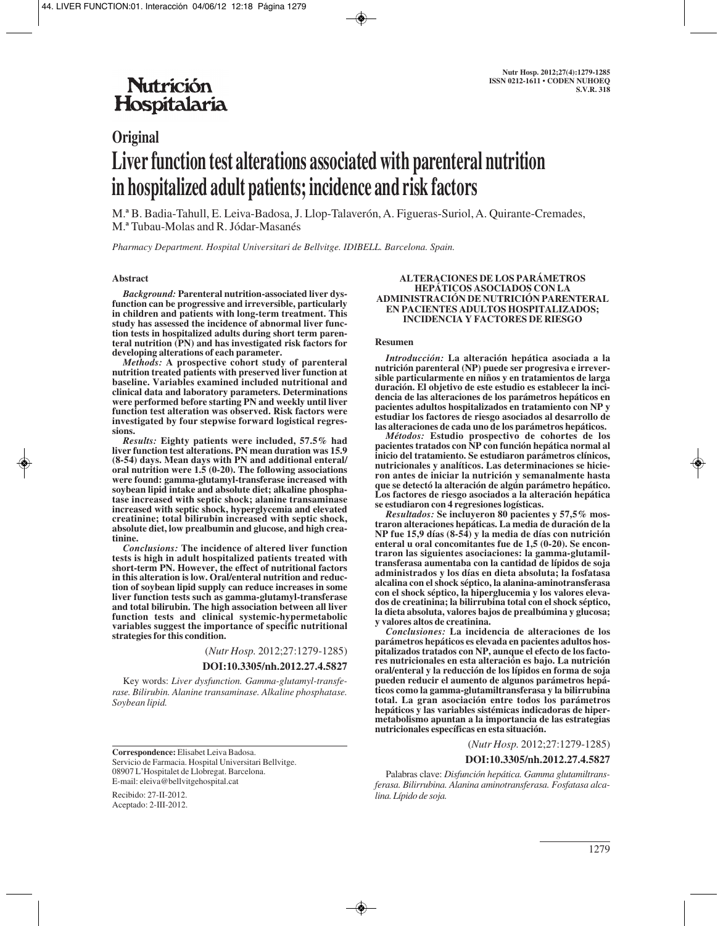## **Nutrición** Hospitalaria

# **Original Liver function test alterations associated with parenteral nutrition in hospitalized adult patients; incidence and risk factors**

M.ª B. Badia-Tahull, E. Leiva-Badosa, J. Llop-Talaverón, A. Figueras-Suriol, A. Quirante-Cremades, M.ª Tubau-Molas and R. Jódar-Masanés

*Pharmacy Department. Hospital Universitari de Bellvitge. IDIBELL. Barcelona. Spain.*

#### **Abstract**

*Background:* **Parenteral nutrition-associated liver dysfunction can be progressive and irreversible, particularly in children and patients with long-term treatment. This study has assessed the incidence of abnormal liver function tests in hospitalized adults during short term parenteral nutrition (PN) and has investigated risk factors for developing alterations of each parameter.** 

*Methods:* **A prospective cohort study of parenteral nutrition treated patients with preserved liver function at baseline. Variables examined included nutritional and clinical data and laboratory parameters. Determinations were performed before starting PN and weekly until liver function test alteration was observed. Risk factors were investigated by four stepwise forward logistical regressions.** 

*Results:* **Eighty patients were included, 57.5% had liver function test alterations. PN mean duration was 15.9 (8-54) days. Mean days with PN and additional enteral/ oral nutrition were 1.5 (0-20). The following associations were found: gamma-glutamyl-transferase increased with soybean lipid intake and absolute diet; alkaline phosphatase increased with septic shock; alanine transaminase increased with septic shock, hyperglycemia and elevated creatinine; total bilirubin increased with septic shock, absolute diet, low prealbumin and glucose, and high creatinine.** 

*Conclusions:* **The incidence of altered liver function tests is high in adult hospitalized patients treated with short-term PN. However, the effect of nutritional factors in this alteration is low. Oral/enteral nutrition and reduction of soybean lipid supply can reduce increases in some liver function tests such as gamma-glutamyl-transferase and total bilirubin. The high association between all liver function tests and clinical systemic-hypermetabolic variables suggest the importance of specific nutritional strategies for this condition.**

(*Nutr Hosp.* 2012;27:1279-1285)

#### **DOI:10.3305/nh.2012.27.4.5827**

Key words: *Liver dysfunction. Gamma-glutamyl-transfe rase. Bilirubin. Alanine transaminase. Alkaline phosphatase. Soybean lipid.*

**Correspondence:** Elisabet Leiva Badosa. Servicio de Farmacia. Hospital Universitari Bellvitge. 08907 L'Hospitalet de Llobregat. Barcelona. E-mail: eleiva@bellvitgehospital.cat

Recibido: 27-II-2012. Aceptado: 2-III-2012.

#### **ALTERACIONES DE LOS PARÁMETROS HEPÁTICOS ASOCIADOS CON LA ADMINISTRACIÓN DE NUTRICIÓN PARENTERAL EN PACIENTES ADULTOS HOSPITALIZADOS; INCIDENCIA Y FACTORES DE RIESGO**

#### **Resumen**

*Introducción:* **La alteración hepática asociada a la nutrición parenteral (NP) puede ser progresiva e irreversible particularmente en niños y en tratamientos de larga duración. El objetivo de este estudio es establecer la incidencia de las alteraciones de los parámetros hepáticos en pacientes adultos hospitalizados en tratamiento con NP y estudiar los factores de riesgo asociados al desarrollo de las alteraciones de cada uno de los parámetros hepáticos.**

*Métodos:* **Estudio prospectivo de cohortes de los pacientes tratados con NP con función hepática normal al inicio del tratamiento. Se estudiaron parámetros clínicos, nutricionales y analíticos. Las determinaciones se hicieron antes de iniciar la nutrición y semanalmente hasta que se detectó la alteración de algún parámetro hepático. Los factores de riesgo asociados a la alteración hepática se estudiaron con 4 regresiones logísticas.**

*Resultados:* **Se incluyeron 80 pacientes y 57,5% mostraron alteraciones hepáticas. La media de duración de la NP fue 15,9 días (8-54) y la media de días con nutrición enteral u oral concomitantes fue de 1,5 (0-20). Se encontraron las siguientes asociaciones: la gamma-glutamiltransferasa aumentaba con la cantidad de lípidos de soja administrados y los días en dieta absoluta; la fosfatasa alcalina con el shock séptico, la alanina-aminotransferasa con el shock séptico, la hiperglucemia y los valores elevados de creatinina; la bilirrubina total con el shock séptico, la dieta absoluta, valores bajos de prealbúmina y glucosa; y valores altos de creatinina.**

*Conclusiones:* **La incidencia de alteraciones de los parámetros hepáticos es elevada en pacientes adultos hospitalizados tratados con NP, aunque el efecto de los factores nutricionales en esta alteración es bajo. La nutrición oral/enteral y la reducción de los lípidos en forma de soja pueden reducir el aumento de algunos parámetros hepáticos como la gamma-glutamiltransferasa y la bilirrubina total. La gran asociación entre todos los parámetros hepáticos y las variables sistémicas indicadoras de hipermetabolismo apuntan a la importancia de las estrategias nutricionales específicas en esta situación.** 

(*Nutr Hosp.* 2012;27:1279-1285)

#### **DOI:10.3305/nh.2012.27.4.5827**

Palabras clave: *Disfunción hepática. Gamma glutamiltransferasa. Bilirrubina. Alanina aminotransferasa. Fosfatasa alcalina. Lípido de soja.*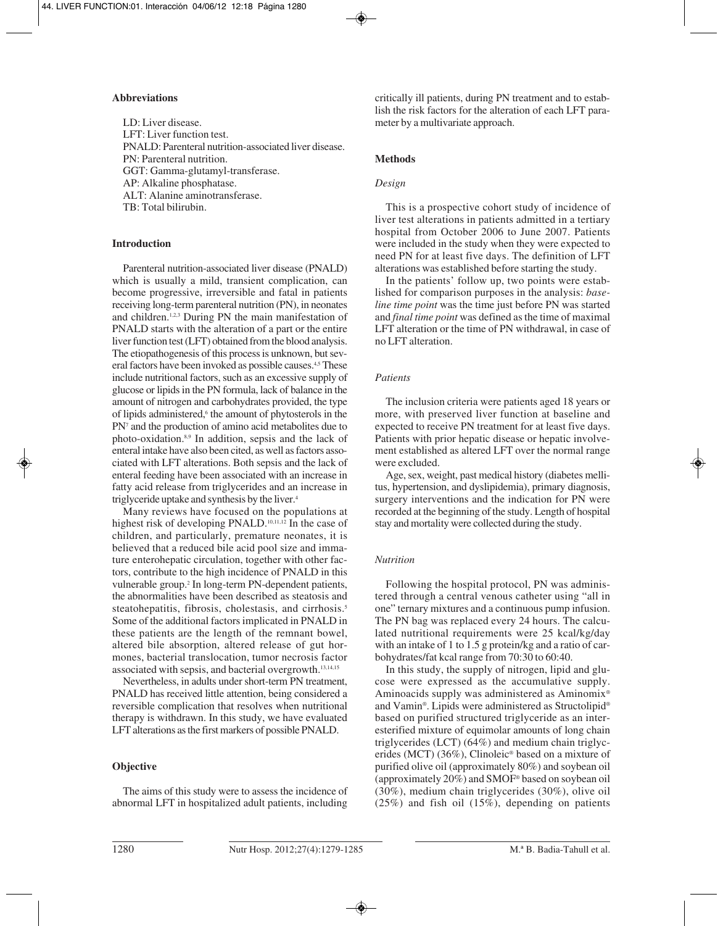## **Abbreviations**

LD: Liver disease. LFT: Liver function test. PNALD: Parenteral nutrition-associated liver disease. PN: Parenteral nutrition. GGT: Gamma-glutamyl-transferase. AP: Alkaline phosphatase. ALT: Alanine aminotransferase. TB: Total bilirubin.

## **Introduction**

Parenteral nutrition-associated liver disease (PNALD) which is usually a mild, transient complication, can become progressive, irreversible and fatal in patients receiving long-term parenteral nutrition (PN), in neonates and children.1,2,3 During PN the main manifestation of PNALD starts with the alteration of a part or the entire liver function test (LFT) obtained from the blood analysis. The etiopathogenesis of this process is unknown, but several factors have been invoked as possible causes.<sup>4,5</sup> These include nutritional factors, such as an excessive supply of glucose or lipids in the PN formula, lack of balance in the amount of nitrogen and carbohydrates provided, the type of lipids administered,<sup>6</sup> the amount of phytosterols in the PN7 and the production of amino acid metabolites due to photo-oxidation.8,9 In addition, sepsis and the lack of enteral intake have also been cited, as well as factors associated with LFT alterations. Both sepsis and the lack of enteral feeding have been associated with an increase in fatty acid release from triglycerides and an increase in triglyceride uptake and synthesis by the liver.4

Many reviews have focused on the populations at highest risk of developing PNALD.<sup>10,11,12</sup> In the case of children, and particularly, premature neonates, it is believed that a reduced bile acid pool size and immature enterohepatic circulation, together with other factors, contribute to the high incidence of PNALD in this vulnerable group.<sup>2</sup> In long-term PN-dependent patients, the abnormalities have been described as steatosis and steatohepatitis, fibrosis, cholestasis, and cirrhosis.<sup>5</sup> Some of the additional factors implicated in PNALD in these patients are the length of the remnant bowel, altered bile absorption, altered release of gut hormones, bacterial translocation, tumor necrosis factor associated with sepsis, and bacterial overgrowth.13,14,15

Nevertheless, in adults under short-term PN treatment, PNALD has received little attention, being considered a reversible complication that resolves when nutritional therapy is withdrawn. In this study, we have evaluated LFT alterations as the first markers of possible PNALD.

## **Objective**

The aims of this study were to assess the incidence of abnormal LFT in hospitalized adult patients, including

critically ill patients, during PN treatment and to establish the risk factors for the alteration of each LFT parameter by a multivariate approach.

## **Methods**

#### *Design*

This is a prospective cohort study of incidence of liver test alterations in patients admitted in a tertiary hospital from October 2006 to June 2007. Patients were included in the study when they were expected to need PN for at least five days. The definition of LFT alterations was established before starting the study.

In the patients' follow up, two points were established for comparison purposes in the analysis: *baseline time point* was the time just before PN was started and *final time point* was defined as the time of maximal LFT alteration or the time of PN withdrawal, in case of no LFT alteration.

## *Patients*

The inclusion criteria were patients aged 18 years or more, with preserved liver function at baseline and expected to receive PN treatment for at least five days. Patients with prior hepatic disease or hepatic involvement established as altered LFT over the normal range were excluded.

Age, sex, weight, past medical history (diabetes mellitus, hypertension, and dyslipidemia), primary diagnosis, surgery interventions and the indication for PN were recorded at the beginning of the study. Length of hospital stay and mortality were collected during the study.

## *Nutrition*

Following the hospital protocol, PN was administered through a central venous catheter using "all in one" ternary mixtures and a continuous pump infusion. The PN bag was replaced every 24 hours. The calculated nutritional requirements were 25 kcal/kg/day with an intake of 1 to 1.5 g protein/kg and a ratio of carbohydrates/fat kcal range from 70:30 to 60:40.

In this study, the supply of nitrogen, lipid and glucose were expressed as the accumulative supply. Aminoacids supply was administered as Aminomix® and Vamin®. Lipids were administered as Structolipid® based on purified structured triglyceride as an interesterified mixture of equimolar amounts of long chain triglycerides (LCT) (64%) and medium chain triglycerides (MCT) (36%), Clinoleic® based on a mixture of purified olive oil (approximately 80%) and soybean oil (approximately 20%) and SMOF® based on soybean oil (30%), medium chain triglycerides (30%), olive oil (25%) and fish oil (15%), depending on patients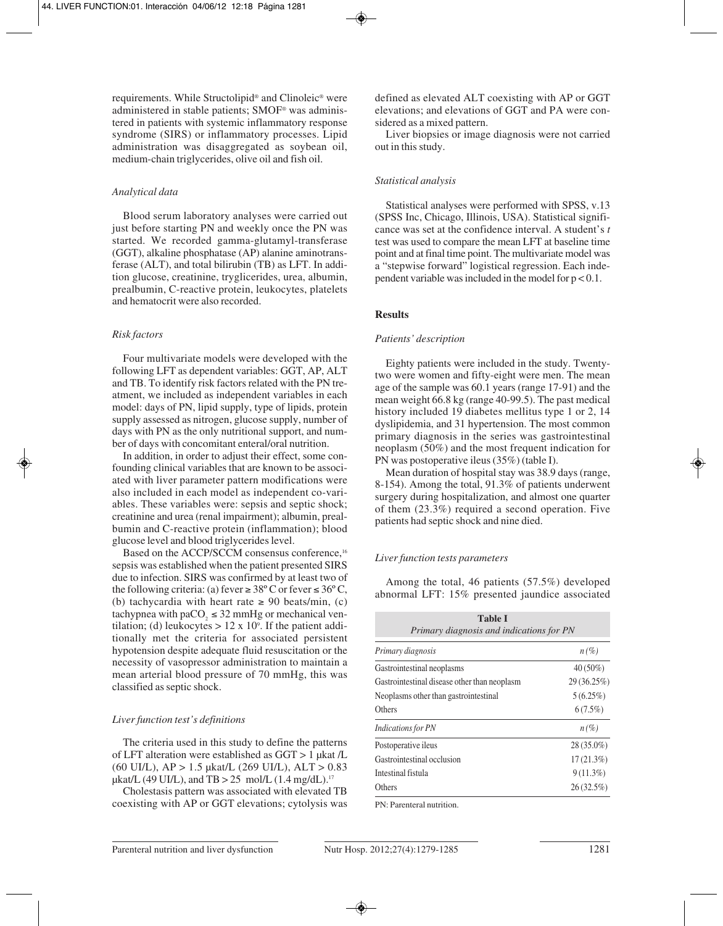requirements. While Structolipid® and Clinoleic® were administered in stable patients; SMOF® was administered in patients with systemic inflammatory response syndrome (SIRS) or inflammatory processes. Lipid administration was disaggregated as soybean oil, medium-chain triglycerides, olive oil and fish oil.

## *Analytical data*

Blood serum laboratory analyses were carried out just before starting PN and weekly once the PN was started. We recorded gamma-glutamyl-transferase (GGT), alkaline phosphatase (AP) alanine aminotransferase (ALT), and total bilirubin (TB) as LFT. In addition glucose, creatinine, tryglicerides, urea, albumin, prealbumin, C-reactive protein, leukocytes, platelets and hematocrit were also recorded.

## *Risk factors*

Four multivariate models were developed with the following LFT as dependent variables: GGT, AP, ALT and TB. To identify risk factors related with the PN treatment, we included as independent variables in each model: days of PN, lipid supply, type of lipids, protein supply assessed as nitrogen, glucose supply, number of days with PN as the only nutritional support, and number of days with concomitant enteral/oral nutrition.

In addition, in order to adjust their effect, some confounding clinical variables that are known to be associated with liver parameter pattern modifications were also included in each model as independent co-variables. These variables were: sepsis and septic shock; creatinine and urea (renal impairment); albumin, prealbumin and C-reactive protein (inflammation); blood glucose level and blood triglycerides level.

Based on the ACCP/SCCM consensus conference,<sup>16</sup> sepsis was established when the patient presented SIRS due to infection. SIRS was confirmed by at least two of the following criteria: (a) fever  $\geq 38^{\circ}$  C or fever  $\leq 36^{\circ}$  C, (b) tachycardia with heart rate  $\geq 90$  beats/min, (c) tachypnea with paCO<sub>2</sub>  $\leq$  32 mmHg or mechanical ventilation; (d) leukocytes  $> 12 \times 10^{\circ}$ . If the patient additionally met the criteria for associated persistent hypotension despite adequate fluid resuscitation or the necessity of vasopressor administration to maintain a mean arterial blood pressure of 70 mmHg, this was classified as septic shock.

#### *Liver function test's definitions*

The criteria used in this study to define the patterns of LFT alteration were established as GGT > 1 µkat /L (60 UI/L), AP > 1.5 µkat/L (269 UI/L), ALT > 0.83  $\mu$ kat/L (49 UI/L), and TB > 25 mol/L (1.4 mg/dL).<sup>17</sup>

Cholestasis pattern was associated with elevated TB coexisting with AP or GGT elevations; cytolysis was defined as elevated ALT coexisting with AP or GGT elevations; and elevations of GGT and PA were considered as a mixed pattern.

Liver biopsies or image diagnosis were not carried out in this study.

#### *Statistical analysis*

Statistical analyses were performed with SPSS, v.13 (SPSS Inc, Chicago, Illinois, USA). Statistical significance was set at the confidence interval. A student's *t* test was used to compare the mean LFT at baseline time point and at final time point. The multivariate model was a "stepwise forward" logistical regression. Each independent variable was included in the model for  $p < 0.1$ .

#### **Results**

#### *Patients' description*

Eighty patients were included in the study. Twentytwo were women and fifty-eight were men. The mean age of the sample was 60.1 years (range 17-91) and the mean weight 66.8 kg (range 40-99.5). The past medical history included 19 diabetes mellitus type 1 or 2, 14 dyslipidemia, and 31 hypertension. The most common primary diagnosis in the series was gastrointestinal neoplasm (50%) and the most frequent indication for PN was postoperative ileus (35%) (table I).

Mean duration of hospital stay was 38.9 days (range, 8-154). Among the total, 91.3% of patients underwent surgery during hospitalization, and almost one quarter of them (23.3%) required a second operation. Five patients had septic shock and nine died.

#### *Liver function tests parameters*

Among the total, 46 patients (57.5%) developed abnormal LFT: 15% presented jaundice associated

| Table I<br>Primary diagnosis and indications for PN |             |  |  |  |
|-----------------------------------------------------|-------------|--|--|--|
| Primary diagnosis                                   | $n(\%)$     |  |  |  |
| Gastrointestinal neoplasms                          | $40(50\%)$  |  |  |  |
| Gastrointestinal disease other than neoplasm        | 29 (36.25%) |  |  |  |
| Neoplasms other than gastrointestinal               | $5(6.25\%)$ |  |  |  |
| Others                                              | 6(7.5%)     |  |  |  |
| <b>Indications for PN</b>                           | $n(\%)$     |  |  |  |
| Postoperative ileus                                 | 28 (35.0%)  |  |  |  |
| Gastrointestinal occlusion                          | 17(21.3%)   |  |  |  |
| Intestinal fistula                                  | $9(11.3\%)$ |  |  |  |
| Others                                              | 26(32.5%)   |  |  |  |

PN: Parenteral nutrition.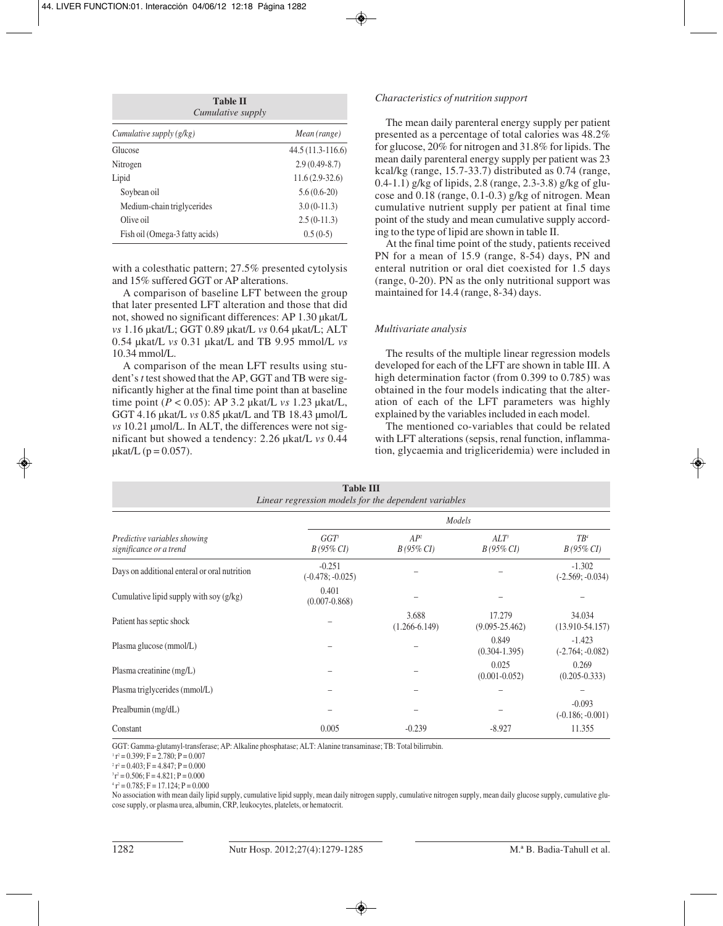| <b>Table II</b><br><i>Cumulative supply</i> |                    |  |  |  |
|---------------------------------------------|--------------------|--|--|--|
| Cumulative supply $(g/kg)$                  | Mean (range)       |  |  |  |
| Glucose                                     | $44.5(11.3-116.6)$ |  |  |  |
| Nitrogen                                    | $2.9(0.49-8.7)$    |  |  |  |
| Lipid                                       | $11.6(2.9-32.6)$   |  |  |  |
| Soybean oil                                 | $5.6(0.6-20)$      |  |  |  |
| Medium-chain triglycerides                  | $3.0(0-11.3)$      |  |  |  |
| Olive oil                                   | $2.5(0-11.3)$      |  |  |  |
| Fish oil (Omega-3 fatty acids)              | $0.5(0-5)$         |  |  |  |

with a colesthatic pattern; 27.5% presented cytolysis and 15% suffered GGT or AP alterations.

A comparison of baseline LFT between the group that later presented LFT alteration and those that did not, showed no significant differences: AP 1.30 µkat/L *vs* 1.16 µkat/L; GGT 0.89 µkat/L *vs* 0.64 µkat/L; ALT 0.54 µkat/L *vs* 0.31 µkat/L and TB 9.95 mmol/L *vs* 10.34 mmol/L.

A comparison of the mean LFT results using student's *t* test showed that the AP, GGT and TB were significantly higher at the final time point than at baseline time point (*P* < 0.05): AP 3.2 µkat/L *vs* 1.23 µkat/L, GGT 4.16 µkat/L *vs* 0.85 µkat/L and TB 18.43 µmol/L *vs* 10.21 µmol/L. In ALT, the differences were not significant but showed a tendency: 2.26 µkat/L *vs* 0.44  $\mu$ kat/L (p = 0.057).

#### *Characteristics of nutrition support*

The mean daily parenteral energy supply per patient presented as a percentage of total calories was 48.2% for glucose, 20% for nitrogen and 31.8% for lipids. The mean daily parenteral energy supply per patient was 23 kcal/kg (range, 15.7-33.7) distributed as 0.74 (range, 0.4-1.1) g/kg of lipids, 2.8 (range, 2.3-3.8) g/kg of glucose and 0.18 (range, 0.1-0.3) g/kg of nitrogen. Mean cumulative nutrient supply per patient at final time point of the study and mean cumulative supply according to the type of lipid are shown in table II.

At the final time point of the study, patients received PN for a mean of 15.9 (range, 8-54) days, PN and enteral nutrition or oral diet coexisted for 1.5 days (range, 0-20). PN as the only nutritional support was maintained for 14.4 (range, 8-34) days.

## *Multivariate analysis*

The results of the multiple linear regression models developed for each of the LFT are shown in table III. A high determination factor (from 0.399 to 0.785) was obtained in the four models indicating that the alteration of each of the LFT parameters was highly explained by the variables included in each model.

The mentioned co-variables that could be related with LFT alterations (sepsis, renal function, inflammation, glycaemia and trigliceridemia) were included in

| <b>Table III</b><br>Linear regression models for the dependent variables |                                |                                 |                                  |                                |  |
|--------------------------------------------------------------------------|--------------------------------|---------------------------------|----------------------------------|--------------------------------|--|
| Predictive variables showing<br>significance or a trend                  | Models                         |                                 |                                  |                                |  |
|                                                                          | $GGT^{\prime}$<br>$B(95\% CI)$ | AP <sup>2</sup><br>$B(95\% CI)$ | ALT <sup>3</sup><br>$B(95\% CI)$ | $TB^4$<br>$B(95\% CI)$         |  |
| Days on additional enteral or oral nutrition                             | $-0.251$<br>$(-0.478; -0.025)$ |                                 |                                  | $-1.302$<br>$(-2.569; -0.034)$ |  |
| Cumulative lipid supply with soy (g/kg)                                  | 0.401<br>$(0.007 - 0.868)$     |                                 |                                  |                                |  |
| Patient has septic shock                                                 |                                | 3.688<br>$(1.266 - 6.149)$      | 17.279<br>$(9.095 - 25.462)$     | 34.034<br>$(13.910-54.157)$    |  |
| Plasma glucose (mmol/L)                                                  |                                |                                 | 0.849<br>$(0.304 - 1.395)$       | $-1.423$<br>$(-2.764; -0.082)$ |  |
| Plasma creatinine (mg/L)                                                 |                                |                                 | 0.025<br>$(0.001 - 0.052)$       | 0.269<br>$(0.205 - 0.333)$     |  |
| Plasma triglycerides (mmol/L)                                            |                                |                                 |                                  |                                |  |
| Prealbumin (mg/dL)                                                       |                                |                                 |                                  | $-0.093$<br>$(-0.186; -0.001)$ |  |
| Constant                                                                 | 0.005                          | $-0.239$                        | $-8.927$                         | 11.355                         |  |

GGT: Gamma-glutamyl-transferase; AP: Alkaline phosphatase; ALT: Alanine transaminase; TB: Total bilirrubin.<br><sup>1</sup> r<sup>2</sup> = 0.399; F = 2.780; P = 0.007

 $1 \cdot r^2 = 0.403$ ; F = 4.847; P = 0.000<br> $1 \cdot r^2 = 0.506$ ; F = 4.821; P = 0.000<br> $1 \cdot r^2 = 0.785$ ; F = 17.124; P = 0.000

No association with mean daily lipid supply, cumulative lipid supply, mean daily nitrogen supply, cumulative nitrogen supply, mean daily glucose supply, cumulative glucose supply, or plasma urea, albumin, CRP, leukocytes, platelets, or hematocrit.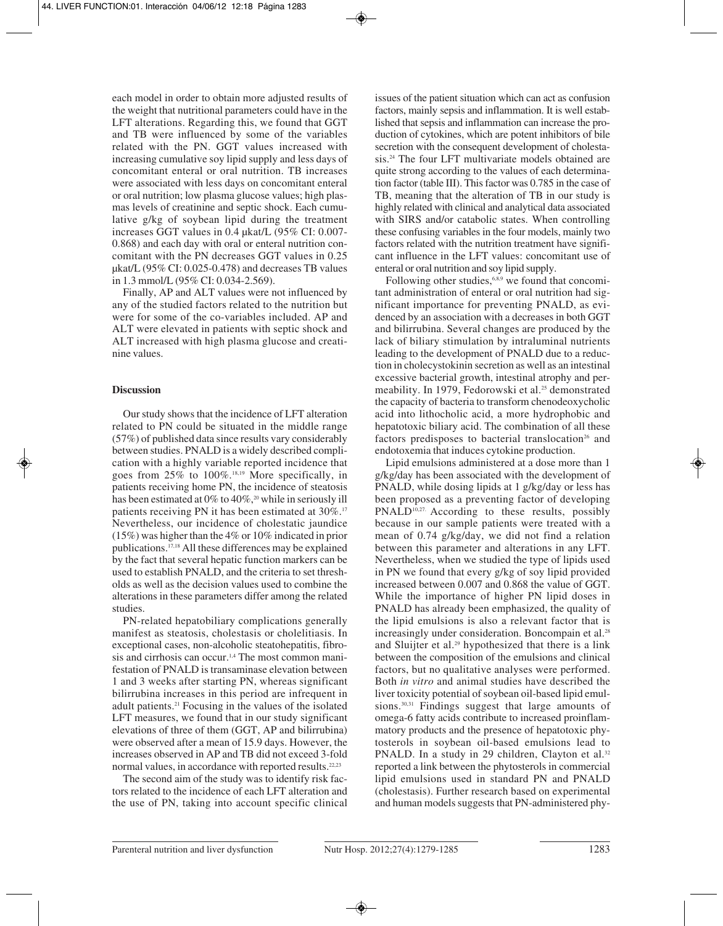each model in order to obtain more adjusted results of the weight that nutritional parameters could have in the LFT alterations. Regarding this, we found that GGT and TB were influenced by some of the variables related with the PN. GGT values increased with increasing cumulative soy lipid supply and less days of concomitant enteral or oral nutrition. TB increases were associated with less days on concomitant enteral or oral nutrition; low plasma glucose values; high plasmas levels of creatinine and septic shock. Each cumulative g/kg of soybean lipid during the treatment increases GGT values in 0.4 µkat/L (95% CI: 0.007- 0.868) and each day with oral or enteral nutrition concomitant with the PN decreases GGT values in 0.25 µkat/L (95% CI: 0.025-0.478) and decreases TB values in 1.3 mmol/L (95% CI: 0.034-2.569).

Finally, AP and ALT values were not influenced by any of the studied factors related to the nutrition but were for some of the co-variables included. AP and ALT were elevated in patients with septic shock and ALT increased with high plasma glucose and creatinine values.

## **Discussion**

Our study shows that the incidence of LFT alteration related to PN could be situated in the middle range (57%) of published data since results vary considerably between studies. PNALD is a widely described complication with a highly variable reported incidence that goes from 25% to 100%.18,19 More specifically, in patients receiving home PN, the incidence of steatosis has been estimated at  $0\%$  to  $40\%$ ,<sup>20</sup> while in seriously ill patients receiving PN it has been estimated at 30%.<sup>17</sup> Nevertheless, our incidence of cholestatic jaundice (15%) was higher than the 4% or 10% indicated in prior publications.17,18 All these differences may be explained by the fact that several hepatic function markers can be used to establish PNALD, and the criteria to set thresholds as well as the decision values used to combine the alterations in these parameters differ among the related studies.

PN-related hepatobiliary complications generally manifest as steatosis, cholestasis or cholelitiasis. In exceptional cases, non-alcoholic steatohepatitis, fibrosis and cirrhosis can occur.1,4 The most common manifestation of PNALD is transaminase elevation between 1 and 3 weeks after starting PN, whereas significant bilirrubina increases in this period are infrequent in adult patients.21 Focusing in the values of the isolated LFT measures, we found that in our study significant elevations of three of them (GGT, AP and bilirrubina) were observed after a mean of 15.9 days. However, the increases observed in AP and TB did not exceed 3-fold normal values, in accordance with reported results.<sup>22,23</sup>

The second aim of the study was to identify risk factors related to the incidence of each LFT alteration and the use of PN, taking into account specific clinical issues of the patient situation which can act as confusion factors, mainly sepsis and inflammation. It is well established that sepsis and inflammation can increase the production of cytokines, which are potent inhibitors of bile secretion with the consequent development of cholestasis.<sup>24</sup> The four LFT multivariate models obtained are quite strong according to the values of each determination factor (table III). This factor was 0.785 in the case of TB, meaning that the alteration of TB in our study is highly related with clinical and analytical data associated with SIRS and/or catabolic states. When controlling these confusing variables in the four models, mainly two factors related with the nutrition treatment have significant influence in the LFT values: concomitant use of enteral or oral nutrition and soy lipid supply.

Following other studies,<sup>6,8,9</sup> we found that concomitant administration of enteral or oral nutrition had significant importance for preventing PNALD, as evidenced by an association with a decreases in both GGT and bilirrubina. Several changes are produced by the lack of biliary stimulation by intraluminal nutrients leading to the development of PNALD due to a reduction in cholecystokinin secretion as well as an intestinal excessive bacterial growth, intestinal atrophy and permeability. In 1979, Fedorowski et al.<sup>25</sup> demonstrated the capacity of bacteria to transform chenodeoxycholic acid into lithocholic acid, a more hydrophobic and hepatotoxic biliary acid. The combination of all these factors predisposes to bacterial translocation<sup>26</sup> and endotoxemia that induces cytokine production.

Lipid emulsions administered at a dose more than 1 g/kg/day has been associated with the development of PNALD, while dosing lipids at 1 g/kg/day or less has been proposed as a preventing factor of developing PNALD<sup>10,27</sup>. According to these results, possibly because in our sample patients were treated with a mean of 0.74 g/kg/day, we did not find a relation between this parameter and alterations in any LFT. Nevertheless, when we studied the type of lipids used in PN we found that every g/kg of soy lipid provided increased between 0.007 and 0.868 the value of GGT. While the importance of higher PN lipid doses in PNALD has already been emphasized, the quality of the lipid emulsions is also a relevant factor that is increasingly under consideration. Boncompain et al.<sup>28</sup> and Sluijter et al.29 hypothesized that there is a link between the composition of the emulsions and clinical factors, but no qualitative analyses were performed. Both *in vitro* and animal studies have described the liver toxicity potential of soybean oil-based lipid emulsions.<sup>30,31</sup> Findings suggest that large amounts of omega-6 fatty acids contribute to increased proinflammatory products and the presence of hepatotoxic phytosterols in soybean oil-based emulsions lead to PNALD. In a study in 29 children, Clayton et al.<sup>32</sup> reported a link between the phytosterols in commercial lipid emulsions used in standard PN and PNALD (cholestasis). Further research based on experimental and human models suggests that PN-administered phy-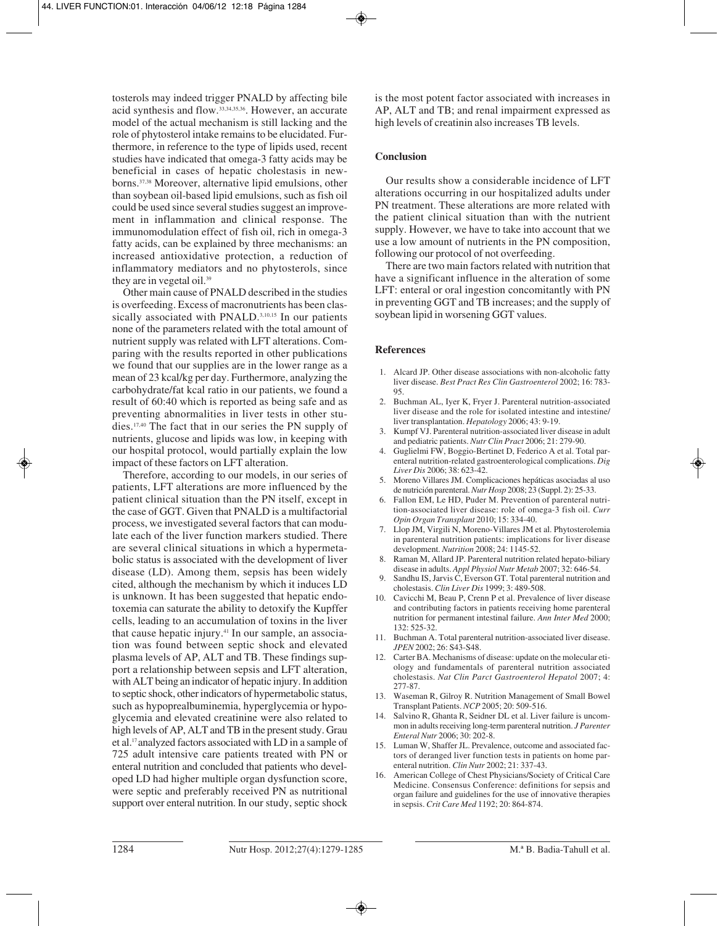tosterols may indeed trigger PNALD by affecting bile acid synthesis and flow.33,34,35,36. However, an accurate model of the actual mechanism is still lacking and the role of phytosterol intake remains to be elucidated. Furthermore, in reference to the type of lipids used, recent studies have indicated that omega-3 fatty acids may be beneficial in cases of hepatic cholestasis in newborns.37,38 Moreover, alternative lipid emulsions, other than soybean oil-based lipid emulsions, such as fish oil could be used since several studies suggest an improvement in inflammation and clinical response. The immunomodulation effect of fish oil, rich in omega-3 fatty acids, can be explained by three mechanisms: an increased antioxidative protection, a reduction of inflammatory mediators and no phytosterols, since they are in vegetal oil.<sup>39</sup>

Other main cause of PNALD described in the studies is overfeeding. Excess of macronutrients has been classically associated with PNALD.<sup>3,10,15</sup> In our patients none of the parameters related with the total amount of nutrient supply was related with LFT alterations. Comparing with the results reported in other publications we found that our supplies are in the lower range as a mean of 23 kcal/kg per day. Furthermore, analyzing the carbohydrate/fat kcal ratio in our patients, we found a result of 60:40 which is reported as being safe and as preventing abnormalities in liver tests in other studies.17,40 The fact that in our series the PN supply of nutrients, glucose and lipids was low, in keeping with our hospital protocol, would partially explain the low impact of these factors on LFT alteration.

Therefore, according to our models, in our series of patients, LFT alterations are more influenced by the patient clinical situation than the PN itself, except in the case of GGT. Given that PNALD is a multifactorial process, we investigated several factors that can modulate each of the liver function markers studied. There are several clinical situations in which a hypermetabolic status is associated with the development of liver disease (LD). Among them, sepsis has been widely cited, although the mechanism by which it induces LD is unknown. It has been suggested that hepatic endotoxemia can saturate the ability to detoxify the Kupffer cells, leading to an accumulation of toxins in the liver that cause hepatic injury.41 In our sample, an association was found between septic shock and elevated plasma levels of AP, ALT and TB. These findings support a relationship between sepsis and LFT alteration, with ALT being an indicator of hepatic injury. In addition to septic shock, other indicators of hypermetabolic status, such as hypoprealbuminemia, hyperglycemia or hypoglycemia and elevated creatinine were also related to high levels of AP, ALT and TB in the present study. Grau et al.17 analyzed factors associated with LD in a sample of 725 adult intensive care patients treated with PN or enteral nutrition and concluded that patients who developed LD had higher multiple organ dysfunction score, were septic and preferably received PN as nutritional support over enteral nutrition. In our study, septic shock

is the most potent factor associated with increases in AP, ALT and TB; and renal impairment expressed as high levels of creatinin also increases TB levels.

#### **Conclusion**

Our results show a considerable incidence of LFT alterations occurring in our hospitalized adults under PN treatment. These alterations are more related with the patient clinical situation than with the nutrient supply. However, we have to take into account that we use a low amount of nutrients in the PN composition, following our protocol of not overfeeding.

There are two main factors related with nutrition that have a significant influence in the alteration of some LFT: enteral or oral ingestion concomitantly with PN in preventing GGT and TB increases; and the supply of soybean lipid in worsening GGT values.

#### **References**

- 1. Alcard JP. Other disease associations with non-alcoholic fatty liver disease. *Best Pract Res Clin Gastroenterol* 2002; 16: 783- 95.
- 2. Buchman AL, Iyer K, Fryer J. Parenteral nutrition-associated liver disease and the role for isolated intestine and intestine/ liver transplantation. *Hepatology* 2006; 43: 9-19.
- 3. Kumpf VJ. Parenteral nutrition-associated liver disease in adult and pediatric patients. *Nutr Clin Pract* 2006; 21: 279-90.
- 4. Guglielmi FW, Boggio-Bertinet D, Federico A et al. Total parenteral nutrition-related gastroenterological complications. *Dig Liver Dis* 2006; 38: 623-42.
- 5. Moreno Villares JM. Complicaciones hepáticas asociadas al uso de nutrición parenteral. *Nutr Hosp* 2008; 23 (Suppl. 2): 25-33.
- 6. Fallon EM, Le HD, Puder M. Prevention of parenteral nutrition-associated liver disease: role of omega-3 fish oil. *Curr Opin Organ Transplant* 2010; 15: 334-40.
- 7. Llop JM, Virgili N, Moreno-Villares JM et al. Phytosterolemia in parenteral nutrition patients: implications for liver disease development. *Nutrition* 2008; 24: 1145-52.
- 8. Raman M, Allard JP. Parenteral nutrition related hepato-biliary disease in adults. *Appl Physiol Nutr Metab* 2007; 32: 646-54.
- Sandhu IS, Jarvis C, Everson GT. Total parenteral nutrition and cholestasis. *Clin Liver Dis* 1999; 3: 489-508.
- 10. Cavicchi M, Beau P, Crenn P et al. Prevalence of liver disease and contributing factors in patients receiving home parenteral nutrition for permanent intestinal failure. *Ann Inter Med* 2000; 132: 525-32.
- 11. Buchman A. Total parenteral nutrition-associated liver disease. *JPEN* 2002; 26: S43-S48.
- 12. Carter BA. Mechanisms of disease: update on the molecular etiology and fundamentals of parenteral nutrition associated cholestasis. *Nat Clin Parct Gastroenterol Hepatol* 2007; 4: 277-87.
- 13. Waseman R, Gilroy R. Nutrition Management of Small Bowel Transplant Patients. *NCP* 2005; 20: 509-516.
- 14. Salvino R, Ghanta R, Seidner DL et al. Liver failure is uncommon in adults receiving long-term parenteral nutrition. *J Parenter Enteral Nutr* 2006; 30: 202-8.
- 15. Luman W, Shaffer JL. Prevalence, outcome and associated factors of deranged liver function tests in patients on home parenteral nutrition. *Clin Nutr* 2002; 21: 337-43.
- 16. American College of Chest Physicians/Society of Critical Care Medicine. Consensus Conference: definitions for sepsis and organ failure and guidelines for the use of innovative therapies in sepsis. *Crit Care Med* 1192; 20: 864-874.